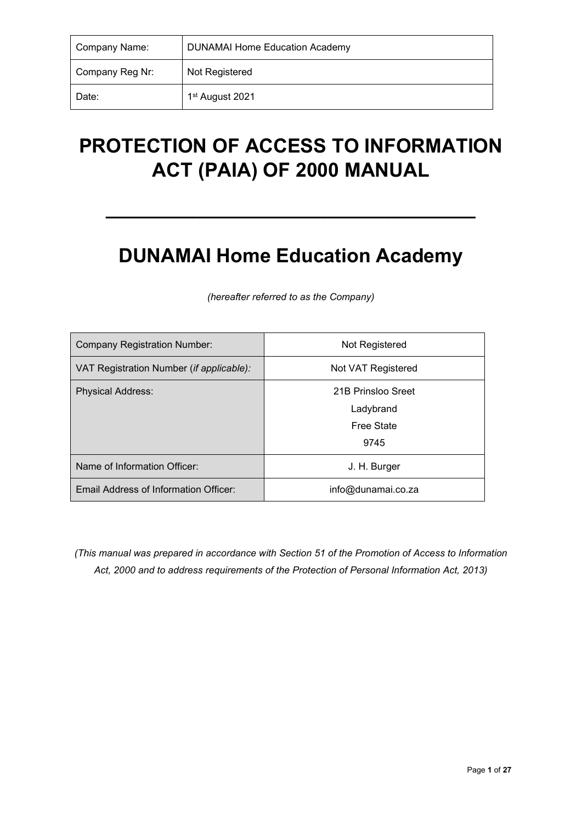| Company Name:   | <b>DUNAMAI Home Education Academy</b> |
|-----------------|---------------------------------------|
| Company Reg Nr: | Not Registered                        |
| Date:           | 1 <sup>st</sup> August 2021           |

# **PROTECTION OF ACCESS TO INFORMATION ACT (PAIA) OF 2000 MANUAL**

# **DUNAMAI Home Education Academy**

**\_\_\_\_\_\_\_\_\_\_\_\_\_\_\_\_\_\_\_\_\_\_\_\_\_\_\_\_\_\_\_\_\_\_**

| <b>Company Registration Number:</b>      | Not Registered     |
|------------------------------------------|--------------------|
| VAT Registration Number (if applicable): | Not VAT Registered |
| <b>Physical Address:</b>                 | 21B Prinsloo Sreet |
|                                          | Ladybrand          |
|                                          | <b>Free State</b>  |
|                                          | 9745               |
| Name of Information Officer:             | J. H. Burger       |
| Email Address of Information Officer:    | info@dunamai.co.za |

*(hereafter referred to as the Company)*

*(This manual was prepared in accordance with Section 51 of the Promotion of Access to Information Act, 2000 and to address requirements of the Protection of Personal Information Act, 2013)*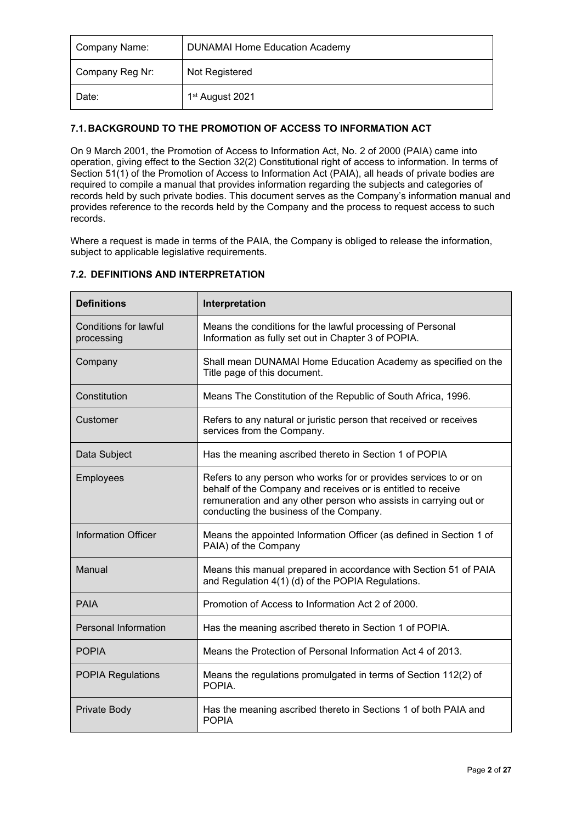| Company Name:   | <b>DUNAMAI Home Education Academy</b> |
|-----------------|---------------------------------------|
| Company Reg Nr: | Not Registered                        |
| Date:           | 1 <sup>st</sup> August 2021           |

# **7.1. BACKGROUND TO THE PROMOTION OF ACCESS TO INFORMATION ACT**

On 9 March 2001, the Promotion of Access to Information Act, No. 2 of 2000 (PAIA) came into operation, giving effect to the Section 32(2) Constitutional right of access to information. In terms of Section 51(1) of the Promotion of Access to Information Act (PAIA), all heads of private bodies are required to compile a manual that provides information regarding the subjects and categories of records held by such private bodies. This document serves as the Company's information manual and provides reference to the records held by the Company and the process to request access to such records.

Where a request is made in terms of the PAIA, the Company is obliged to release the information, subject to applicable legislative requirements.

| <b>Definitions</b>                         | Interpretation                                                                                                                                                                                                                                  |
|--------------------------------------------|-------------------------------------------------------------------------------------------------------------------------------------------------------------------------------------------------------------------------------------------------|
| <b>Conditions for lawful</b><br>processing | Means the conditions for the lawful processing of Personal<br>Information as fully set out in Chapter 3 of POPIA.                                                                                                                               |
| Company                                    | Shall mean DUNAMAI Home Education Academy as specified on the<br>Title page of this document.                                                                                                                                                   |
| Constitution                               | Means The Constitution of the Republic of South Africa, 1996.                                                                                                                                                                                   |
| Customer                                   | Refers to any natural or juristic person that received or receives<br>services from the Company.                                                                                                                                                |
| Data Subject                               | Has the meaning ascribed thereto in Section 1 of POPIA                                                                                                                                                                                          |
| Employees                                  | Refers to any person who works for or provides services to or on<br>behalf of the Company and receives or is entitled to receive<br>remuneration and any other person who assists in carrying out or<br>conducting the business of the Company. |
| <b>Information Officer</b>                 | Means the appointed Information Officer (as defined in Section 1 of<br>PAIA) of the Company                                                                                                                                                     |
| Manual                                     | Means this manual prepared in accordance with Section 51 of PAIA<br>and Regulation 4(1) (d) of the POPIA Regulations.                                                                                                                           |
| <b>PAIA</b>                                | Promotion of Access to Information Act 2 of 2000.                                                                                                                                                                                               |
| <b>Personal Information</b>                | Has the meaning ascribed thereto in Section 1 of POPIA.                                                                                                                                                                                         |
| <b>POPIA</b>                               | Means the Protection of Personal Information Act 4 of 2013.                                                                                                                                                                                     |
| <b>POPIA Regulations</b>                   | Means the regulations promulgated in terms of Section 112(2) of<br>POPIA.                                                                                                                                                                       |
| Private Body                               | Has the meaning ascribed thereto in Sections 1 of both PAIA and<br><b>POPIA</b>                                                                                                                                                                 |

# **7.2. DEFINITIONS AND INTERPRETATION**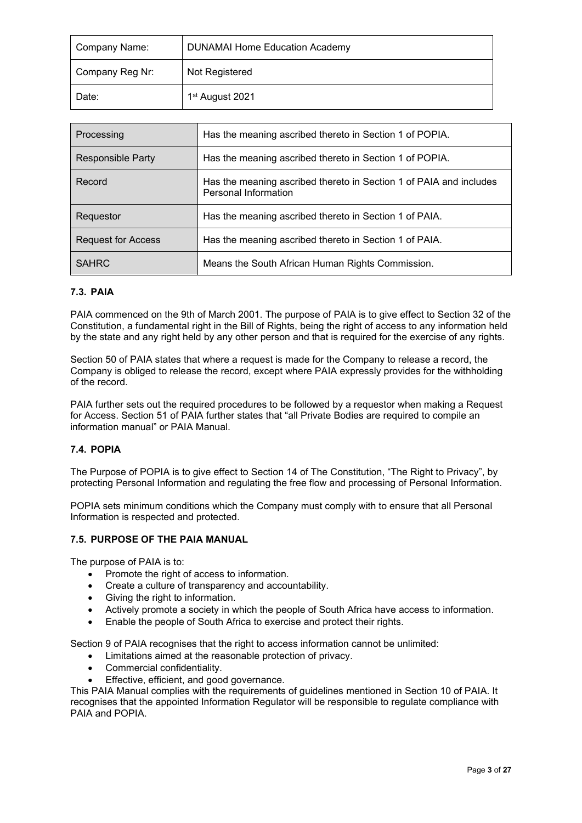| Company Name:   | <b>DUNAMAI Home Education Academy</b> |
|-----------------|---------------------------------------|
| Company Reg Nr: | Not Registered                        |
| Date:           | 1 <sup>st</sup> August 2021           |

| Processing                | Has the meaning ascribed thereto in Section 1 of POPIA.                                    |
|---------------------------|--------------------------------------------------------------------------------------------|
| <b>Responsible Party</b>  | Has the meaning ascribed thereto in Section 1 of POPIA.                                    |
| Record                    | Has the meaning ascribed thereto in Section 1 of PAIA and includes<br>Personal Information |
| Requestor                 | Has the meaning ascribed thereto in Section 1 of PAIA.                                     |
| <b>Request for Access</b> | Has the meaning ascribed thereto in Section 1 of PAIA.                                     |
| <b>SAHRC</b>              | Means the South African Human Rights Commission.                                           |

# **7.3. PAIA**

PAIA commenced on the 9th of March 2001. The purpose of PAIA is to give effect to Section 32 of the Constitution, a fundamental right in the Bill of Rights, being the right of access to any information held by the state and any right held by any other person and that is required for the exercise of any rights.

Section 50 of PAIA states that where a request is made for the Company to release a record, the Company is obliged to release the record, except where PAIA expressly provides for the withholding of the record.

PAIA further sets out the required procedures to be followed by a requestor when making a Request for Access. Section 51 of PAIA further states that "all Private Bodies are required to compile an information manual" or PAIA Manual.

# **7.4. POPIA**

The Purpose of POPIA is to give effect to Section 14 of The Constitution, "The Right to Privacy", by protecting Personal Information and regulating the free flow and processing of Personal Information.

POPIA sets minimum conditions which the Company must comply with to ensure that all Personal Information is respected and protected.

# **7.5. PURPOSE OF THE PAIA MANUAL**

The purpose of PAIA is to:

- Promote the right of access to information.
- Create a culture of transparency and accountability.
- Giving the right to information.
- Actively promote a society in which the people of South Africa have access to information.
- Enable the people of South Africa to exercise and protect their rights.

Section 9 of PAIA recognises that the right to access information cannot be unlimited:

- Limitations aimed at the reasonable protection of privacy.
- Commercial confidentiality.
- Effective, efficient, and good governance.

This PAIA Manual complies with the requirements of guidelines mentioned in Section 10 of PAIA. It recognises that the appointed Information Regulator will be responsible to regulate compliance with PAIA and POPIA.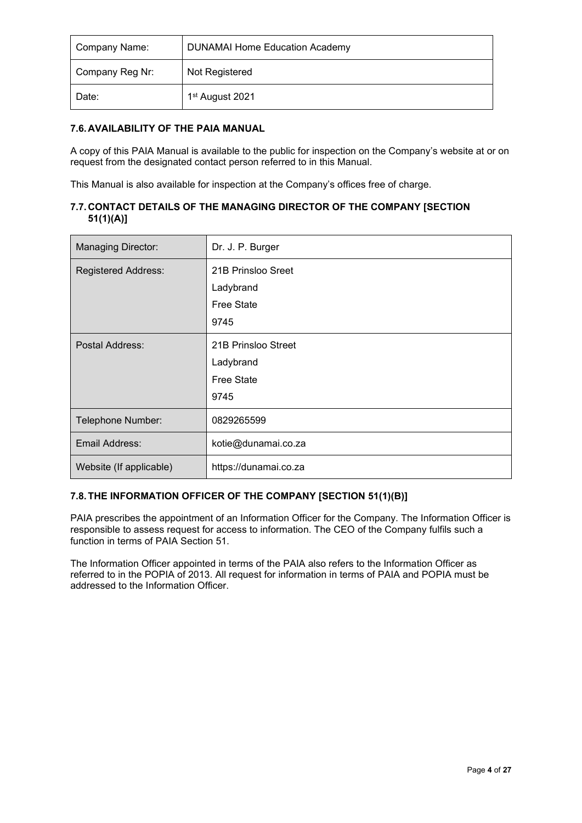| Company Name:   | <b>DUNAMAI Home Education Academy</b> |
|-----------------|---------------------------------------|
| Company Reg Nr: | Not Registered                        |
| Date:           | 1 <sup>st</sup> August 2021           |

# **7.6. AVAILABILITY OF THE PAIA MANUAL**

A copy of this PAIA Manual is available to the public for inspection on the Company's website at or on request from the designated contact person referred to in this Manual.

This Manual is also available for inspection at the Company's offices free of charge.

# **7.7. CONTACT DETAILS OF THE MANAGING DIRECTOR OF THE COMPANY [SECTION 51(1)(A)]**

| <b>Managing Director:</b>  | Dr. J. P. Burger      |
|----------------------------|-----------------------|
| <b>Registered Address:</b> | 21B Prinsloo Sreet    |
|                            | Ladybrand             |
|                            | <b>Free State</b>     |
|                            | 9745                  |
| Postal Address:            | 21B Prinsloo Street   |
|                            | Ladybrand             |
|                            | <b>Free State</b>     |
|                            | 9745                  |
| Telephone Number:          | 0829265599            |
| Email Address:             | kotie@dunamai.co.za   |
| Website (If applicable)    | https://dunamai.co.za |

# **7.8.THE INFORMATION OFFICER OF THE COMPANY [SECTION 51(1)(B)]**

PAIA prescribes the appointment of an Information Officer for the Company. The Information Officer is responsible to assess request for access to information. The CEO of the Company fulfils such a function in terms of PAIA Section 51.

The Information Officer appointed in terms of the PAIA also refers to the Information Officer as referred to in the POPIA of 2013. All request for information in terms of PAIA and POPIA must be addressed to the Information Officer.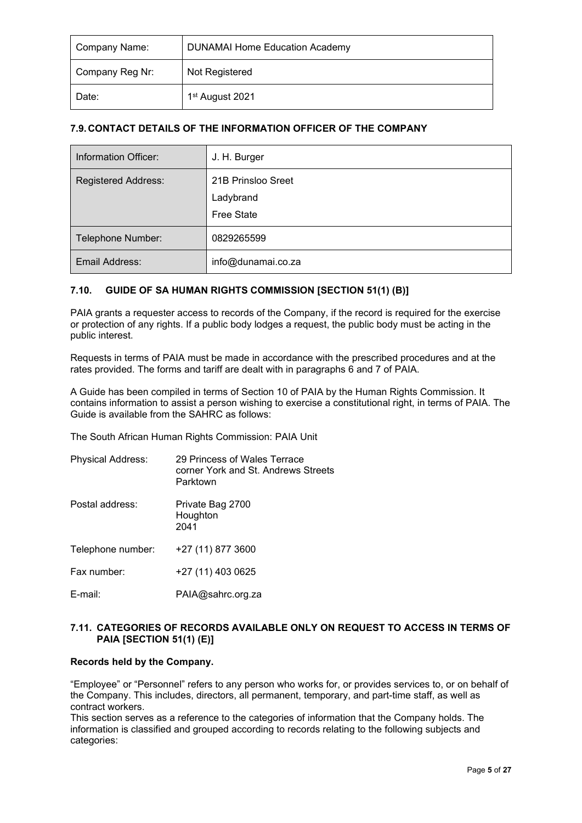| Company Name:   | <b>DUNAMAI Home Education Academy</b> |
|-----------------|---------------------------------------|
| Company Reg Nr: | Not Registered                        |
| Date:           | 1 <sup>st</sup> August 2021           |

# **7.9. CONTACT DETAILS OF THE INFORMATION OFFICER OF THE COMPANY**

| Information Officer:       | J. H. Burger       |
|----------------------------|--------------------|
| <b>Registered Address:</b> | 21B Prinsloo Sreet |
|                            | Ladybrand          |
|                            | <b>Free State</b>  |
| Telephone Number:          | 0829265599         |
| Email Address:             | info@dunamai.co.za |

# **7.10. GUIDE OF SA HUMAN RIGHTS COMMISSION [SECTION 51(1) (B)]**

PAIA grants a requester access to records of the Company, if the record is required for the exercise or protection of any rights. If a public body lodges a request, the public body must be acting in the public interest.

Requests in terms of PAIA must be made in accordance with the prescribed procedures and at the rates provided. The forms and tariff are dealt with in paragraphs 6 and 7 of PAIA.

A Guide has been compiled in terms of Section 10 of PAIA by the Human Rights Commission. It contains information to assist a person wishing to exercise a constitutional right, in terms of PAIA. The Guide is available from the SAHRC as follows:

The South African Human Rights Commission: PAIA Unit

| <b>Physical Address:</b> | 29 Princess of Wales Terrace<br>corner York and St. Andrews Streets<br>Parktown |
|--------------------------|---------------------------------------------------------------------------------|
| Postal address:          | Private Bag 2700<br>Houghton<br>2041                                            |
| Telephone number:        | +27 (11) 877 3600                                                               |
| Fax number:              | +27 (11) 403 0625                                                               |
| $E$ -mail:               | PAIA@sahrc.org.za                                                               |

# **7.11. CATEGORIES OF RECORDS AVAILABLE ONLY ON REQUEST TO ACCESS IN TERMS OF PAIA [SECTION 51(1) (E)]**

#### **Records held by the Company.**

"Employee" or "Personnel" refers to any person who works for, or provides services to, or on behalf of the Company. This includes, directors, all permanent, temporary, and part-time staff, as well as contract workers.

This section serves as a reference to the categories of information that the Company holds. The information is classified and grouped according to records relating to the following subjects and categories: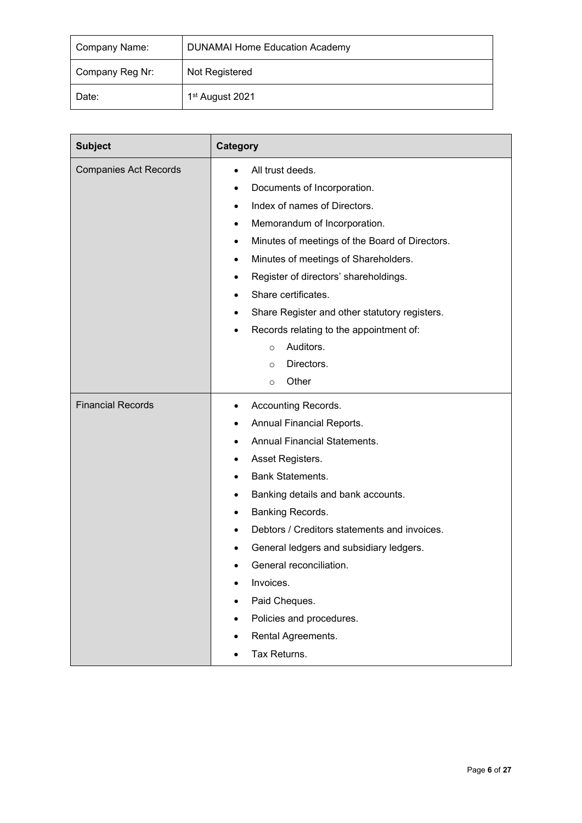| Company Name:   | <b>DUNAMAI Home Education Academy</b> |
|-----------------|---------------------------------------|
| Company Reg Nr: | Not Registered                        |
| Date:           | 1 <sup>st</sup> August 2021           |

| <b>Subject</b>               | Category                                                                                                                                                                                                                                                                                                                                                                                                                                                                                                                      |  |
|------------------------------|-------------------------------------------------------------------------------------------------------------------------------------------------------------------------------------------------------------------------------------------------------------------------------------------------------------------------------------------------------------------------------------------------------------------------------------------------------------------------------------------------------------------------------|--|
| <b>Companies Act Records</b> | All trust deeds.<br>$\bullet$<br>Documents of Incorporation.<br>$\bullet$<br>Index of names of Directors.<br>$\bullet$<br>Memorandum of Incorporation.<br>$\bullet$<br>Minutes of meetings of the Board of Directors.<br>٠<br>Minutes of meetings of Shareholders.<br>$\bullet$<br>Register of directors' shareholdings.<br>$\bullet$<br>Share certificates.<br>Share Register and other statutory registers.<br>Records relating to the appointment of:<br>Auditors.<br>$\circ$<br>Directors.<br>$\circ$<br>Other<br>$\circ$ |  |
| <b>Financial Records</b>     | Accounting Records.<br>٠<br>Annual Financial Reports.<br><b>Annual Financial Statements.</b><br>Asset Registers.<br><b>Bank Statements.</b><br>Banking details and bank accounts.<br>$\bullet$<br>Banking Records.<br>$\bullet$<br>Debtors / Creditors statements and invoices.<br>$\bullet$<br>General ledgers and subsidiary ledgers.<br>٠<br>General reconciliation.<br>Invoices.<br>Paid Cheques.<br>Policies and procedures.<br>Rental Agreements.<br>Tax Returns.                                                       |  |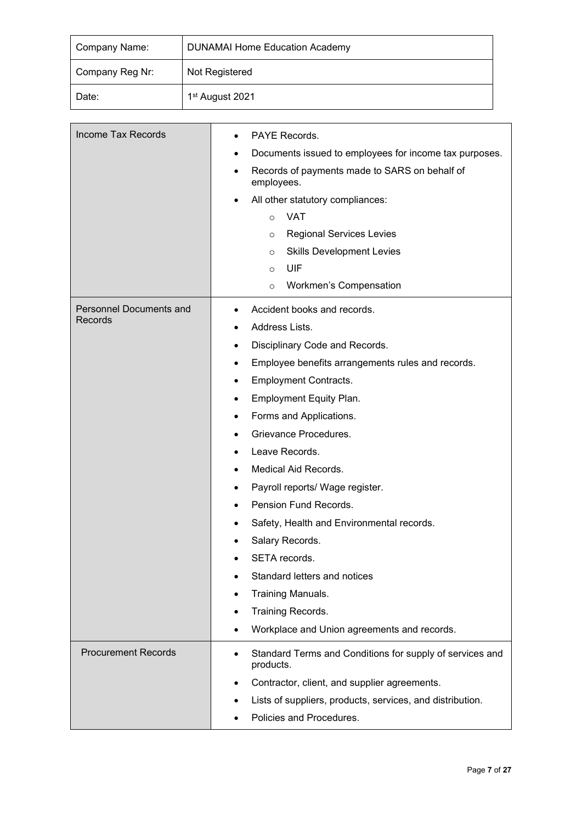| Company Name:   | <b>DUNAMAI Home Education Academy</b> |
|-----------------|---------------------------------------|
| Company Reg Nr: | Not Registered                        |
| Date:           | 1 <sup>st</sup> August 2021           |

| Income Tax Records         | <b>PAYE Records.</b>                                                               |  |  |
|----------------------------|------------------------------------------------------------------------------------|--|--|
|                            | Documents issued to employees for income tax purposes.<br>$\bullet$                |  |  |
|                            | Records of payments made to SARS on behalf of<br>$\bullet$<br>employees.           |  |  |
|                            | All other statutory compliances:<br>$\bullet$                                      |  |  |
|                            | <b>VAT</b><br>$\circ$                                                              |  |  |
|                            | <b>Regional Services Levies</b><br>$\circ$                                         |  |  |
|                            | <b>Skills Development Levies</b><br>$\circ$                                        |  |  |
|                            | UIF<br>$\circ$                                                                     |  |  |
|                            | Workmen's Compensation<br>$\circ$                                                  |  |  |
| Personnel Documents and    | Accident books and records.                                                        |  |  |
| Records                    | Address Lists.<br>$\bullet$                                                        |  |  |
|                            | Disciplinary Code and Records.<br>$\bullet$                                        |  |  |
|                            | Employee benefits arrangements rules and records.<br>$\bullet$                     |  |  |
|                            | <b>Employment Contracts.</b><br>$\bullet$                                          |  |  |
|                            | <b>Employment Equity Plan.</b><br>$\bullet$                                        |  |  |
|                            | Forms and Applications.<br>$\bullet$                                               |  |  |
|                            | Grievance Procedures.<br>$\bullet$                                                 |  |  |
|                            | Leave Records.<br>$\bullet$                                                        |  |  |
|                            | Medical Aid Records.<br>$\bullet$                                                  |  |  |
|                            | Payroll reports/ Wage register.<br>$\bullet$                                       |  |  |
|                            | Pension Fund Records.<br>$\bullet$                                                 |  |  |
|                            | Safety, Health and Environmental records.                                          |  |  |
|                            | Salary Records.                                                                    |  |  |
|                            | SETA records.                                                                      |  |  |
|                            | Standard letters and notices                                                       |  |  |
|                            | Training Manuals.                                                                  |  |  |
|                            | Training Records.                                                                  |  |  |
|                            | Workplace and Union agreements and records.                                        |  |  |
| <b>Procurement Records</b> | Standard Terms and Conditions for supply of services and<br>$\bullet$<br>products. |  |  |
|                            | Contractor, client, and supplier agreements.                                       |  |  |
|                            | Lists of suppliers, products, services, and distribution.                          |  |  |
|                            | Policies and Procedures.                                                           |  |  |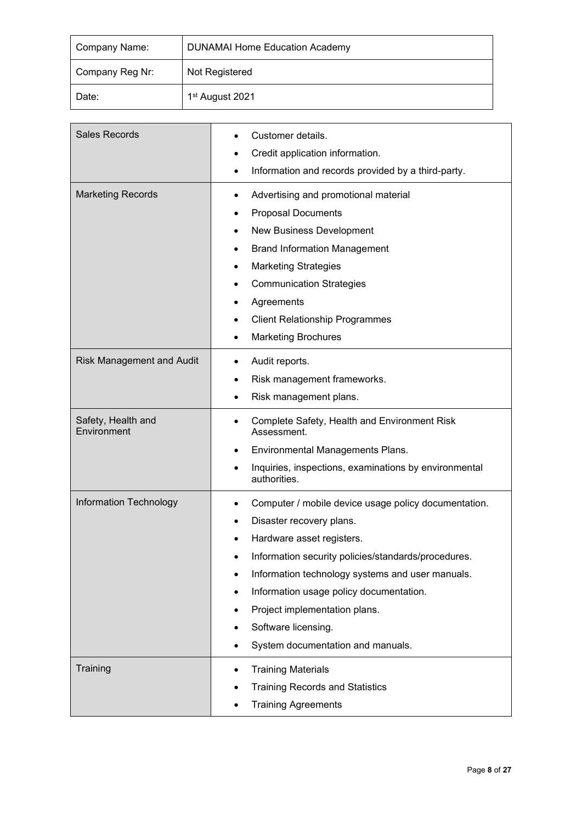| Company Name:   | <b>DUNAMAI Home Education Academy</b> |
|-----------------|---------------------------------------|
| Company Reg Nr: | Not Registered                        |
| Date:           | 1 <sup>st</sup> August 2021           |

| <b>Sales Records</b>              | Customer details.                                                                                                                                                                                                                                                                                                                                                                          |
|-----------------------------------|--------------------------------------------------------------------------------------------------------------------------------------------------------------------------------------------------------------------------------------------------------------------------------------------------------------------------------------------------------------------------------------------|
|                                   | Credit application information.                                                                                                                                                                                                                                                                                                                                                            |
|                                   | Information and records provided by a third-party.<br>$\bullet$                                                                                                                                                                                                                                                                                                                            |
| <b>Marketing Records</b>          | Advertising and promotional material<br>$\bullet$<br><b>Proposal Documents</b><br><b>New Business Development</b><br>$\bullet$                                                                                                                                                                                                                                                             |
|                                   | <b>Brand Information Management</b>                                                                                                                                                                                                                                                                                                                                                        |
|                                   | <b>Marketing Strategies</b><br>٠                                                                                                                                                                                                                                                                                                                                                           |
|                                   | <b>Communication Strategies</b>                                                                                                                                                                                                                                                                                                                                                            |
|                                   | Agreements                                                                                                                                                                                                                                                                                                                                                                                 |
|                                   | <b>Client Relationship Programmes</b>                                                                                                                                                                                                                                                                                                                                                      |
|                                   | <b>Marketing Brochures</b><br>$\bullet$                                                                                                                                                                                                                                                                                                                                                    |
| <b>Risk Management and Audit</b>  | Audit reports.<br>Risk management frameworks.<br>٠<br>Risk management plans.<br>$\bullet$                                                                                                                                                                                                                                                                                                  |
| Safety, Health and<br>Environment | Complete Safety, Health and Environment Risk<br>٠<br>Assessment.                                                                                                                                                                                                                                                                                                                           |
|                                   | Environmental Managements Plans.<br>Inquiries, inspections, examinations by environmental<br>authorities.                                                                                                                                                                                                                                                                                  |
| Information Technology            | Computer / mobile device usage policy documentation.<br>$\bullet$<br>Disaster recovery plans.<br>Hardware asset registers.<br>Information security policies/standards/procedures.<br>Information technology systems and user manuals.<br>$\bullet$<br>Information usage policy documentation.<br>Project implementation plans.<br>Software licensing.<br>System documentation and manuals. |
| Training                          | <b>Training Materials</b><br>$\bullet$<br><b>Training Records and Statistics</b><br>$\bullet$<br><b>Training Agreements</b>                                                                                                                                                                                                                                                                |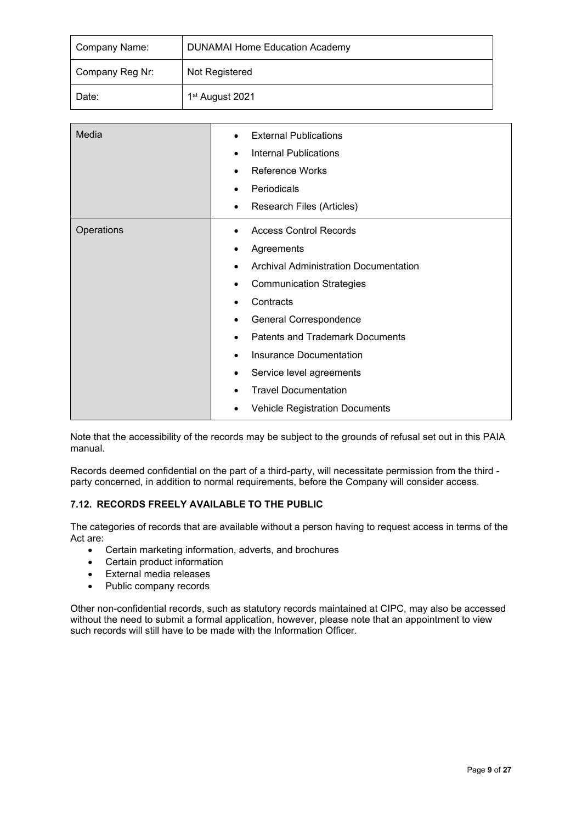| Company Name:   | <b>DUNAMAI Home Education Academy</b> |
|-----------------|---------------------------------------|
| Company Reg Nr: | Not Registered                        |
| Date:           | 1 <sup>st</sup> August 2021           |

| Media      | <b>External Publications</b><br><b>Internal Publications</b><br>$\bullet$<br><b>Reference Works</b><br>$\bullet$<br>Periodicals<br>٠<br>Research Files (Articles)<br>٠                                                                                                                                                                                                                                                          |
|------------|---------------------------------------------------------------------------------------------------------------------------------------------------------------------------------------------------------------------------------------------------------------------------------------------------------------------------------------------------------------------------------------------------------------------------------|
| Operations | <b>Access Control Records</b><br>Agreements<br>$\bullet$<br>Archival Administration Documentation<br>٠<br><b>Communication Strategies</b><br>$\bullet$<br>Contracts<br>General Correspondence<br>$\bullet$<br><b>Patents and Trademark Documents</b><br>$\bullet$<br>Insurance Documentation<br>$\bullet$<br>Service level agreements<br>٠<br><b>Travel Documentation</b><br>$\bullet$<br><b>Vehicle Registration Documents</b> |

Note that the accessibility of the records may be subject to the grounds of refusal set out in this PAIA manual.

Records deemed confidential on the part of a third-party, will necessitate permission from the third party concerned, in addition to normal requirements, before the Company will consider access.

# **7.12. RECORDS FREELY AVAILABLE TO THE PUBLIC**

The categories of records that are available without a person having to request access in terms of the Act are:

- Certain marketing information, adverts, and brochures
- Certain product information
- External media releases
- Public company records

Other non-confidential records, such as statutory records maintained at CIPC, may also be accessed without the need to submit a formal application, however, please note that an appointment to view such records will still have to be made with the Information Officer.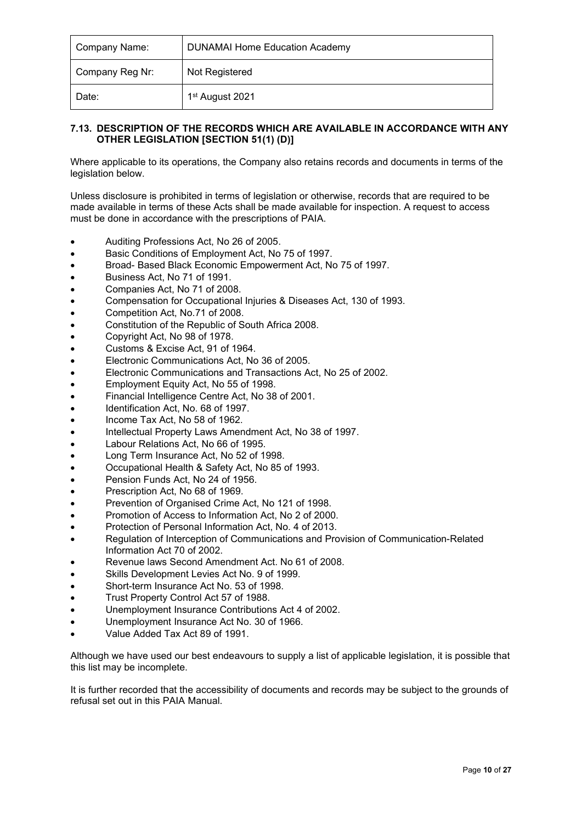| Company Name:   | <b>DUNAMAI Home Education Academy</b> |
|-----------------|---------------------------------------|
| Company Reg Nr: | Not Registered                        |
| Date:           | 1 <sup>st</sup> August 2021           |

# **7.13. DESCRIPTION OF THE RECORDS WHICH ARE AVAILABLE IN ACCORDANCE WITH ANY OTHER LEGISLATION [SECTION 51(1) (D)]**

Where applicable to its operations, the Company also retains records and documents in terms of the legislation below.

Unless disclosure is prohibited in terms of legislation or otherwise, records that are required to be made available in terms of these Acts shall be made available for inspection. A request to access must be done in accordance with the prescriptions of PAIA.

- Auditing Professions Act, No 26 of 2005.
- Basic Conditions of Employment Act, No 75 of 1997.
- Broad- Based Black Economic Empowerment Act, No 75 of 1997.
- Business Act, No 71 of 1991.
- Companies Act, No 71 of 2008.
- Compensation for Occupational Injuries & Diseases Act, 130 of 1993.
- Competition Act, No.71 of 2008.
- Constitution of the Republic of South Africa 2008.
- Copyright Act, No 98 of 1978.
- Customs & Excise Act, 91 of 1964.
- Electronic Communications Act, No 36 of 2005.
- Electronic Communications and Transactions Act, No 25 of 2002.
- Employment Equity Act, No 55 of 1998.
- Financial Intelligence Centre Act, No 38 of 2001.
- Identification Act, No. 68 of 1997.
- Income Tax Act, No 58 of 1962.
- Intellectual Property Laws Amendment Act, No 38 of 1997.
- Labour Relations Act, No 66 of 1995.
- Long Term Insurance Act, No 52 of 1998.
- Occupational Health & Safety Act, No 85 of 1993.
- Pension Funds Act, No 24 of 1956.
- Prescription Act, No 68 of 1969.
- Prevention of Organised Crime Act, No 121 of 1998.
- Promotion of Access to Information Act, No 2 of 2000.
- Protection of Personal Information Act, No. 4 of 2013.
- Regulation of Interception of Communications and Provision of Communication-Related Information Act 70 of 2002.
- Revenue laws Second Amendment Act. No 61 of 2008.
- Skills Development Levies Act No. 9 of 1999.
- Short-term Insurance Act No. 53 of 1998.
- Trust Property Control Act 57 of 1988.
- Unemployment Insurance Contributions Act 4 of 2002.
- Unemployment Insurance Act No. 30 of 1966.
- Value Added Tax Act 89 of 1991.

Although we have used our best endeavours to supply a list of applicable legislation, it is possible that this list may be incomplete.

It is further recorded that the accessibility of documents and records may be subject to the grounds of refusal set out in this PAIA Manual.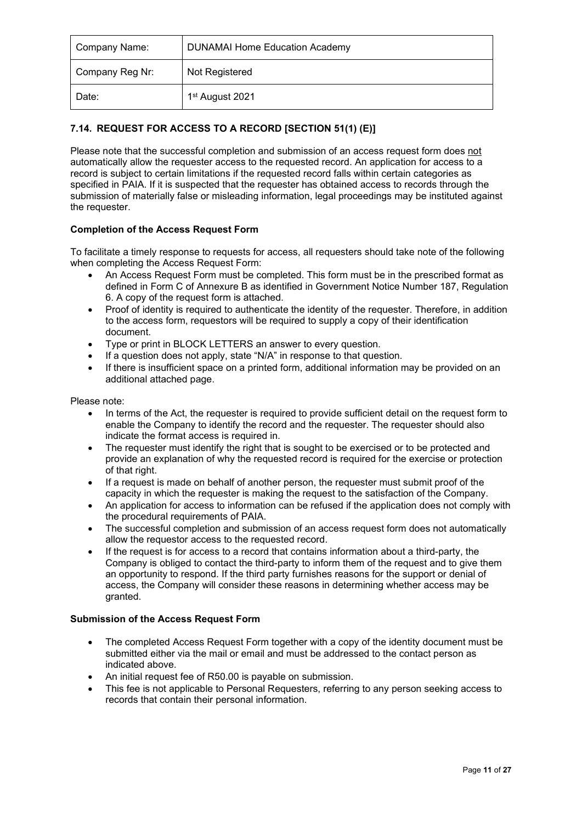| Company Name:   | <b>DUNAMAI Home Education Academy</b> |
|-----------------|---------------------------------------|
| Company Reg Nr: | Not Registered                        |
| Date:           | 1 <sup>st</sup> August 2021           |

# **7.14. REQUEST FOR ACCESS TO A RECORD [SECTION 51(1) (E)]**

Please note that the successful completion and submission of an access request form does not automatically allow the requester access to the requested record. An application for access to a record is subject to certain limitations if the requested record falls within certain categories as specified in PAIA. If it is suspected that the requester has obtained access to records through the submission of materially false or misleading information, legal proceedings may be instituted against the requester.

# **Completion of the Access Request Form**

To facilitate a timely response to requests for access, all requesters should take note of the following when completing the Access Request Form:

- An Access Request Form must be completed. This form must be in the prescribed format as defined in Form C of Annexure B as identified in Government Notice Number 187, Regulation 6. A copy of the request form is attached.
- Proof of identity is required to authenticate the identity of the requester. Therefore, in addition to the access form, requestors will be required to supply a copy of their identification document.
- Type or print in BLOCK LETTERS an answer to every question.<br>• If a question does not annivistate "N/A" in response to that quest
- If a question does not apply, state "N/A" in response to that question.
- If there is insufficient space on a printed form, additional information may be provided on an additional attached page.

Please note:

- In terms of the Act, the requester is required to provide sufficient detail on the request form to enable the Company to identify the record and the requester. The requester should also indicate the format access is required in.
- The requester must identify the right that is sought to be exercised or to be protected and provide an explanation of why the requested record is required for the exercise or protection of that right.
- If a request is made on behalf of another person, the requester must submit proof of the capacity in which the requester is making the request to the satisfaction of the Company.
- An application for access to information can be refused if the application does not comply with the procedural requirements of PAIA.
- The successful completion and submission of an access request form does not automatically allow the requestor access to the requested record.
- If the request is for access to a record that contains information about a third-party, the Company is obliged to contact the third-party to inform them of the request and to give them an opportunity to respond. If the third party furnishes reasons for the support or denial of access, the Company will consider these reasons in determining whether access may be granted.

# **Submission of the Access Request Form**

- The completed Access Request Form together with a copy of the identity document must be submitted either via the mail or email and must be addressed to the contact person as indicated above.
- An initial request fee of R50.00 is payable on submission.
- This fee is not applicable to Personal Requesters, referring to any person seeking access to records that contain their personal information.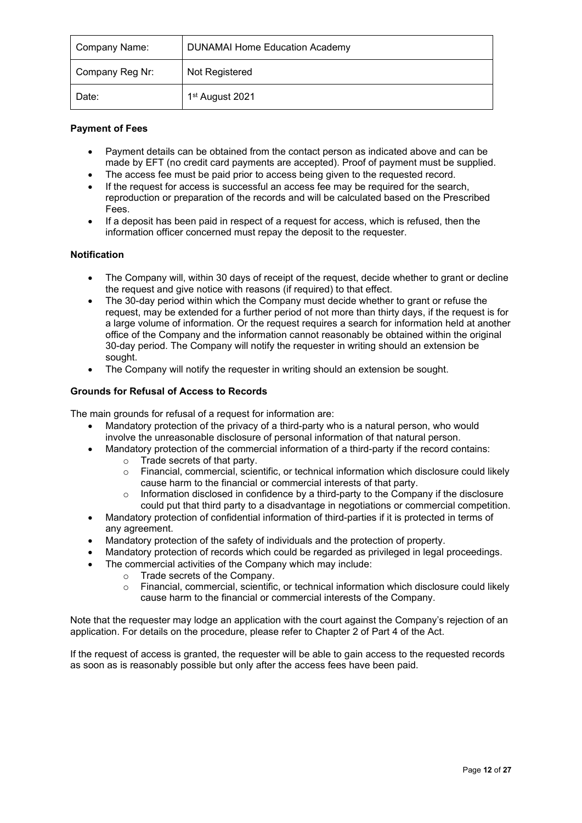| Company Name:   | <b>DUNAMAI Home Education Academy</b> |
|-----------------|---------------------------------------|
| Company Reg Nr: | Not Registered                        |
| Date:           | 1 <sup>st</sup> August 2021           |

# **Payment of Fees**

- Payment details can be obtained from the contact person as indicated above and can be made by EFT (no credit card payments are accepted). Proof of payment must be supplied.
- The access fee must be paid prior to access being given to the requested record.
- If the request for access is successful an access fee may be required for the search, reproduction or preparation of the records and will be calculated based on the Prescribed Fees.
- If a deposit has been paid in respect of a request for access, which is refused, then the information officer concerned must repay the deposit to the requester.

# **Notification**

- The Company will, within 30 days of receipt of the request, decide whether to grant or decline the request and give notice with reasons (if required) to that effect.
- The 30-day period within which the Company must decide whether to grant or refuse the request, may be extended for a further period of not more than thirty days, if the request is for a large volume of information. Or the request requires a search for information held at another office of the Company and the information cannot reasonably be obtained within the original 30-day period. The Company will notify the requester in writing should an extension be sought.
- The Company will notify the requester in writing should an extension be sought.

# **Grounds for Refusal of Access to Records**

The main grounds for refusal of a request for information are:

- Mandatory protection of the privacy of a third-party who is a natural person, who would involve the unreasonable disclosure of personal information of that natural person.
- Mandatory protection of the commercial information of a third-party if the record contains:
	- $\circ$  Trade secrets of that party.<br>  $\circ$  Financial commercial scie
	- Financial, commercial, scientific, or technical information which disclosure could likely cause harm to the financial or commercial interests of that party.
	- $\circ$  Information disclosed in confidence by a third-party to the Company if the disclosure could put that third party to a disadvantage in negotiations or commercial competition.
- Mandatory protection of confidential information of third-parties if it is protected in terms of any agreement.
- Mandatory protection of the safety of individuals and the protection of property.
- Mandatory protection of records which could be regarded as privileged in legal proceedings.
	- The commercial activities of the Company which may include:
		- o Trade secrets of the Company.<br> **Company** Commercial scientific
			- Financial, commercial, scientific, or technical information which disclosure could likely cause harm to the financial or commercial interests of the Company.

Note that the requester may lodge an application with the court against the Company's rejection of an application. For details on the procedure, please refer to Chapter 2 of Part 4 of the Act.

If the request of access is granted, the requester will be able to gain access to the requested records as soon as is reasonably possible but only after the access fees have been paid.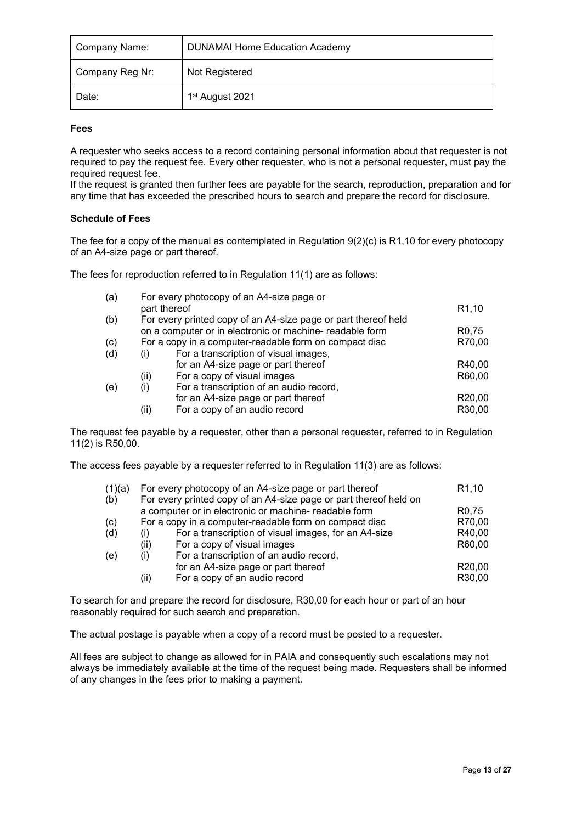| Company Name:   | <b>DUNAMAI Home Education Academy</b> |
|-----------------|---------------------------------------|
| Company Reg Nr: | Not Registered                        |
| Date:           | 1 <sup>st</sup> August 2021           |

#### **Fees**

A requester who seeks access to a record containing personal information about that requester is not required to pay the request fee. Every other requester, who is not a personal requester, must pay the required request fee.

If the request is granted then further fees are payable for the search, reproduction, preparation and for any time that has exceeded the prescribed hours to search and prepare the record for disclosure.

#### **Schedule of Fees**

The fee for a copy of the manual as contemplated in Regulation 9(2)(c) is R1,10 for every photocopy of an A4-size page or part thereof.

The fees for reproduction referred to in Regulation 11(1) are as follows:

| (a) |                                                          | For every photocopy of an A4-size page or                      |                    |  |
|-----|----------------------------------------------------------|----------------------------------------------------------------|--------------------|--|
|     |                                                          | part thereof                                                   | R <sub>1</sub> ,10 |  |
| (b) |                                                          | For every printed copy of an A4-size page or part thereof held |                    |  |
|     | on a computer or in electronic or machine- readable form |                                                                | R <sub>0</sub> ,75 |  |
| (c) |                                                          | For a copy in a computer-readable form on compact disc         |                    |  |
| (d) | (i)                                                      | For a transcription of visual images,                          |                    |  |
|     |                                                          | for an A4-size page or part thereof                            | R40,00             |  |
|     | (ii)                                                     | For a copy of visual images                                    | R60,00             |  |
| (e) | (i)                                                      | For a transcription of an audio record,                        |                    |  |
|     |                                                          | for an A4-size page or part thereof                            | R20,00             |  |
|     | (ii)                                                     | For a copy of an audio record                                  | R30,00             |  |

The request fee payable by a requester, other than a personal requester, referred to in Regulation 11(2) is R50,00.

The access fees payable by a requester referred to in Regulation 11(3) are as follows:

| (1)(a)<br>(b) | For every photocopy of an A4-size page or part thereof<br>For every printed copy of an A4-size page or part thereof held on |                                                        |                    |  |  |  |  |  |
|---------------|-----------------------------------------------------------------------------------------------------------------------------|--------------------------------------------------------|--------------------|--|--|--|--|--|
|               | a computer or in electronic or machine- readable form                                                                       |                                                        |                    |  |  |  |  |  |
| (c)           |                                                                                                                             | For a copy in a computer-readable form on compact disc | R70,00             |  |  |  |  |  |
| (d)           | $\mathbf{I}$                                                                                                                | For a transcription of visual images, for an A4-size   | R40,00             |  |  |  |  |  |
|               | (ii)                                                                                                                        | For a copy of visual images                            | R60,00             |  |  |  |  |  |
| (e)           | (i)                                                                                                                         | For a transcription of an audio record,                |                    |  |  |  |  |  |
|               |                                                                                                                             | for an A4-size page or part thereof                    | R <sub>20,00</sub> |  |  |  |  |  |
|               | (ii)                                                                                                                        | For a copy of an audio record                          | R30,00             |  |  |  |  |  |

To search for and prepare the record for disclosure, R30,00 for each hour or part of an hour reasonably required for such search and preparation.

The actual postage is payable when a copy of a record must be posted to a requester.

All fees are subject to change as allowed for in PAIA and consequently such escalations may not always be immediately available at the time of the request being made. Requesters shall be informed of any changes in the fees prior to making a payment.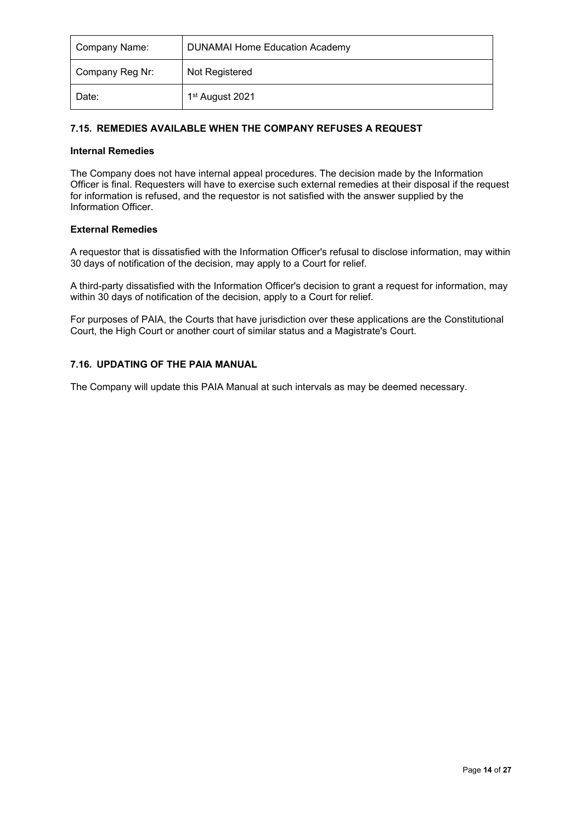| Company Name:   | <b>DUNAMAI Home Education Academy</b> |  |  |  |  |  |  |
|-----------------|---------------------------------------|--|--|--|--|--|--|
| Company Reg Nr: | Not Registered                        |  |  |  |  |  |  |
| Date:           | 1 <sup>st</sup> August 2021           |  |  |  |  |  |  |

# **7.15. REMEDIES AVAILABLE WHEN THE COMPANY REFUSES A REQUEST**

#### **Internal Remedies**

The Company does not have internal appeal procedures. The decision made by the Information Officer is final. Requesters will have to exercise such external remedies at their disposal if the request for information is refused, and the requestor is not satisfied with the answer supplied by the Information Officer.

#### **External Remedies**

A requestor that is dissatisfied with the Information Officer's refusal to disclose information, may within 30 days of notification of the decision, may apply to a Court for relief.

A third-party dissatisfied with the Information Officer's decision to grant a request for information, may within 30 days of notification of the decision, apply to a Court for relief.

For purposes of PAIA, the Courts that have jurisdiction over these applications are the Constitutional Court, the High Court or another court of similar status and a Magistrate's Court.

# **7.16. UPDATING OF THE PAIA MANUAL**

The Company will update this PAIA Manual at such intervals as may be deemed necessary.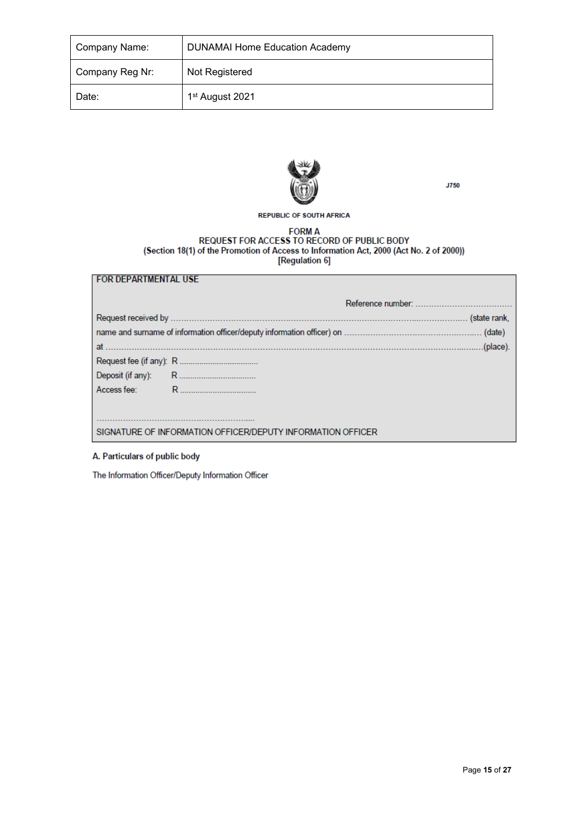| Company Name:   | <b>DUNAMAI Home Education Academy</b> |  |  |  |  |  |  |
|-----------------|---------------------------------------|--|--|--|--|--|--|
| Company Reg Nr: | Not Registered                        |  |  |  |  |  |  |
| Date:           | 1 <sup>st</sup> August 2021           |  |  |  |  |  |  |



**REPUBLIC OF SOUTH AFRICA** 

# FORM A<br>REQUEST FOR ACCESS TO RECORD OF PUBLIC BODY<br>(Section 18(1) of the Promotion of Access to Information Act, 2000 (Act No. 2 of 2000))<br>[Regulation 6]

# **FOR DEPARTMENTAL USE**

| SIGNATURE OF INFORMATION OFFICER/DEPUTY INFORMATION OFFICER |  |
|-------------------------------------------------------------|--|

#### A. Particulars of public body

The Information Officer/Deputy Information Officer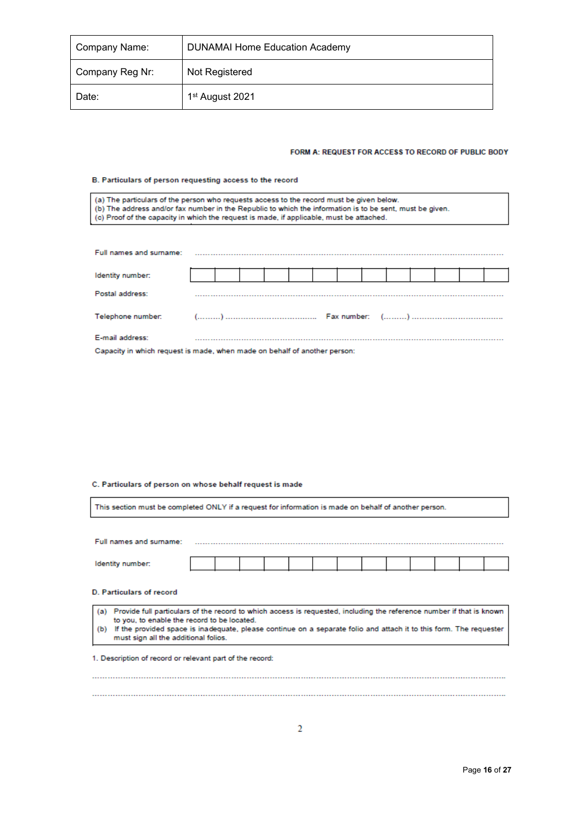| Company Name:   | <b>DUNAMAI Home Education Academy</b> |  |  |  |  |  |  |
|-----------------|---------------------------------------|--|--|--|--|--|--|
| Company Reg Nr: | Not Registered                        |  |  |  |  |  |  |
| Date:           | 1 <sup>st</sup> August 2021           |  |  |  |  |  |  |

#### FORM A: REQUEST FOR ACCESS TO RECORD OF PUBLIC BODY

#### B. Particulars of person requesting access to the record

| (a) The particulars of the person who requests access to the record must be given below.<br>(b) The address and/or fax number in the Republic to which the information is to be sent, must be given.<br>(c) Proof of the capacity in which the request is made, if applicable, must be attached. |  |  |  |  |  |  |  |  |  |  |  |  |
|--------------------------------------------------------------------------------------------------------------------------------------------------------------------------------------------------------------------------------------------------------------------------------------------------|--|--|--|--|--|--|--|--|--|--|--|--|
|                                                                                                                                                                                                                                                                                                  |  |  |  |  |  |  |  |  |  |  |  |  |
| Full names and surname:                                                                                                                                                                                                                                                                          |  |  |  |  |  |  |  |  |  |  |  |  |
| Identity number:                                                                                                                                                                                                                                                                                 |  |  |  |  |  |  |  |  |  |  |  |  |
| Postal address:                                                                                                                                                                                                                                                                                  |  |  |  |  |  |  |  |  |  |  |  |  |
| Telephone number:                                                                                                                                                                                                                                                                                |  |  |  |  |  |  |  |  |  |  |  |  |
| E-mail address:                                                                                                                                                                                                                                                                                  |  |  |  |  |  |  |  |  |  |  |  |  |

Capacity in which request is made, when made on behalf of another person:

#### C. Particulars of person on whose behalf request is made

| This section must be completed ONLY if a request for information is made on behalf of another person.                                                                                                                                                                                                                                           |  |  |  |  |  |  |  |  |  |  |  |  |
|-------------------------------------------------------------------------------------------------------------------------------------------------------------------------------------------------------------------------------------------------------------------------------------------------------------------------------------------------|--|--|--|--|--|--|--|--|--|--|--|--|
|                                                                                                                                                                                                                                                                                                                                                 |  |  |  |  |  |  |  |  |  |  |  |  |
| Full names and surname:                                                                                                                                                                                                                                                                                                                         |  |  |  |  |  |  |  |  |  |  |  |  |
| Identity number:                                                                                                                                                                                                                                                                                                                                |  |  |  |  |  |  |  |  |  |  |  |  |
| <b>D. Particulars of record</b>                                                                                                                                                                                                                                                                                                                 |  |  |  |  |  |  |  |  |  |  |  |  |
| Provide full particulars of the record to which access is requested, including the reference number if that is known<br>(a)<br>to you, to enable the record to be located.<br>(b)<br>If the provided space is inadequate, please continue on a separate folio and attach it to this form. The requester<br>must sign all the additional folios. |  |  |  |  |  |  |  |  |  |  |  |  |
| 1. Description of record or relevant part of the record:                                                                                                                                                                                                                                                                                        |  |  |  |  |  |  |  |  |  |  |  |  |
|                                                                                                                                                                                                                                                                                                                                                 |  |  |  |  |  |  |  |  |  |  |  |  |
|                                                                                                                                                                                                                                                                                                                                                 |  |  |  |  |  |  |  |  |  |  |  |  |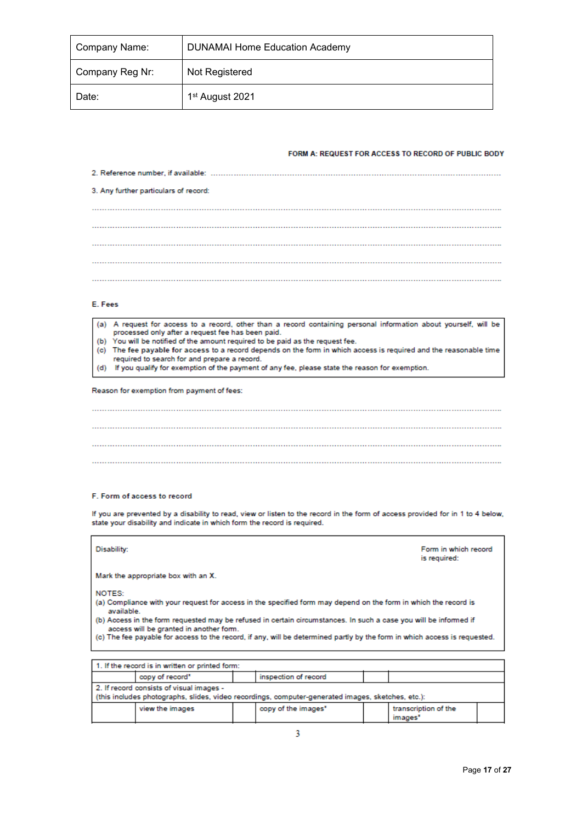| Company Name:   | <b>DUNAMAI Home Education Academy</b> |  |  |  |  |  |  |
|-----------------|---------------------------------------|--|--|--|--|--|--|
| Company Reg Nr: | Not Registered                        |  |  |  |  |  |  |
| Date:           | 1 <sup>st</sup> August 2021           |  |  |  |  |  |  |

#### FORM A: REQUEST FOR ACCESS TO RECORD OF PUBLIC BODY

| 3. Any further particulars of record: |  |
|---------------------------------------|--|
|                                       |  |
|                                       |  |
|                                       |  |
|                                       |  |
|                                       |  |

#### E. Fees

| (a) A request for access to a record, other than a record containing personal information about yourself, will be        |  |  |  |  |  |  |  |  |  |  |
|--------------------------------------------------------------------------------------------------------------------------|--|--|--|--|--|--|--|--|--|--|
| processed only after a request fee has been paid.                                                                        |  |  |  |  |  |  |  |  |  |  |
| (b) You will be notified of the amount required to be paid as the request fee.                                           |  |  |  |  |  |  |  |  |  |  |
| (a) The factorizable for access to a present dependence the faces in which access is considered and the proposable time. |  |  |  |  |  |  |  |  |  |  |

- (c) The fee payable for access to a record depends on the form in which access is required and the reasonable time required to search for and prepare a record.
- (d) If you qualify for exemption of the payment of any fee, please state the reason for exemption.

#### Reason for exemption from payment of fees:

#### F. Form of access to record

If you are prevented by a disability to read, view or listen to the record in the form of access provided for in 1 to 4 below, state your disability and indicate in which form the record is required.

| Disability:                                                                                                                                                                                                                                                                                                                                                                                                                         |                                                 |  |  |  |  |  |  | Form in which record<br>is required: |  |
|-------------------------------------------------------------------------------------------------------------------------------------------------------------------------------------------------------------------------------------------------------------------------------------------------------------------------------------------------------------------------------------------------------------------------------------|-------------------------------------------------|--|--|--|--|--|--|--------------------------------------|--|
|                                                                                                                                                                                                                                                                                                                                                                                                                                     | Mark the appropriate box with an X.             |  |  |  |  |  |  |                                      |  |
| NOTES:<br>(a) Compliance with your request for access in the specified form may depend on the form in which the record is<br>available.<br>(b) Access in the form requested may be refused in certain circumstances. In such a case you will be informed if<br>access will be granted in another form.<br>(c) The fee payable for access to the record, if any, will be determined partly by the form in which access is requested. |                                                 |  |  |  |  |  |  |                                      |  |
|                                                                                                                                                                                                                                                                                                                                                                                                                                     |                                                 |  |  |  |  |  |  |                                      |  |
|                                                                                                                                                                                                                                                                                                                                                                                                                                     | 1. If the record is in written or printed form: |  |  |  |  |  |  |                                      |  |
|                                                                                                                                                                                                                                                                                                                                                                                                                                     |                                                 |  |  |  |  |  |  |                                      |  |

|                                                                                                                                               | copy of record* |  | inspection of record |                                 |  |  |  |  |  |  |
|-----------------------------------------------------------------------------------------------------------------------------------------------|-----------------|--|----------------------|---------------------------------|--|--|--|--|--|--|
| 2. If record consists of visual images -<br>(this includes photographs, slides, video recordings, computer-generated images, sketches, etc.): |                 |  |                      |                                 |  |  |  |  |  |  |
|                                                                                                                                               | view the images |  | copy of the images"  | transcription of the<br>images' |  |  |  |  |  |  |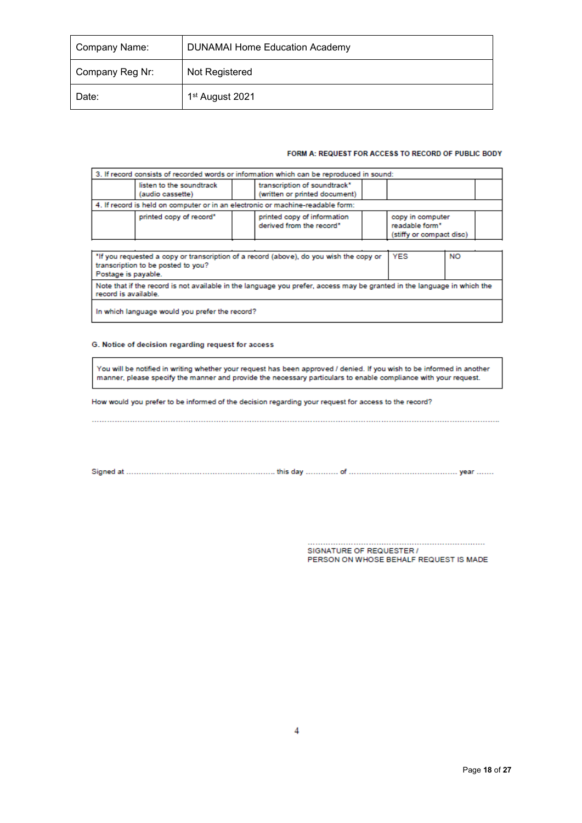| Company Name:   | <b>DUNAMAI Home Education Academy</b> |
|-----------------|---------------------------------------|
| Company Reg Nr: | Not Registered                        |
| Date:           | 1 <sup>st</sup> August 2021           |

#### FORM A: REQUEST FOR ACCESS TO RECORD OF PUBLIC BODY

|                                                                                                                                                                                |                                              |  | 3. If record consists of recorded words or information which can be reproduced in sound: |  |  |  |  |
|--------------------------------------------------------------------------------------------------------------------------------------------------------------------------------|----------------------------------------------|--|------------------------------------------------------------------------------------------|--|--|--|--|
|                                                                                                                                                                                | listen to the soundtrack<br>(audio cassette) |  | transcription of soundtrack*<br>(written or printed document)                            |  |  |  |  |
| 4. If record is held on computer or in an electronic or machine-readable form:                                                                                                 |                                              |  |                                                                                          |  |  |  |  |
| printed copy of record"<br>printed copy of information<br>copy in computer<br>derived from the record*<br>readable form*<br>(stiffy or compact disc)                           |                                              |  |                                                                                          |  |  |  |  |
| <b>YES</b><br><b>NO</b><br>"If you requested a copy or transcription of a record (above), do you wish the copy or<br>transcription to be posted to you?<br>Postage is payable. |                                              |  |                                                                                          |  |  |  |  |
| Note that if the record is not available in the language you prefer, access may be granted in the language in which the<br>record is available.                                |                                              |  |                                                                                          |  |  |  |  |

In which language would you prefer the record?

#### G. Notice of decision regarding request for access

You will be notified in writing whether your request has been approved / denied. If you wish to be informed in another<br>manner, please specify the manner and provide the necessary particulars to enable compliance with your

How would you prefer to be informed of the decision regarding your request for access to the record?

SIGNATURE OF REQUESTER / PERSON ON WHOSE BEHALF REQUEST IS MADE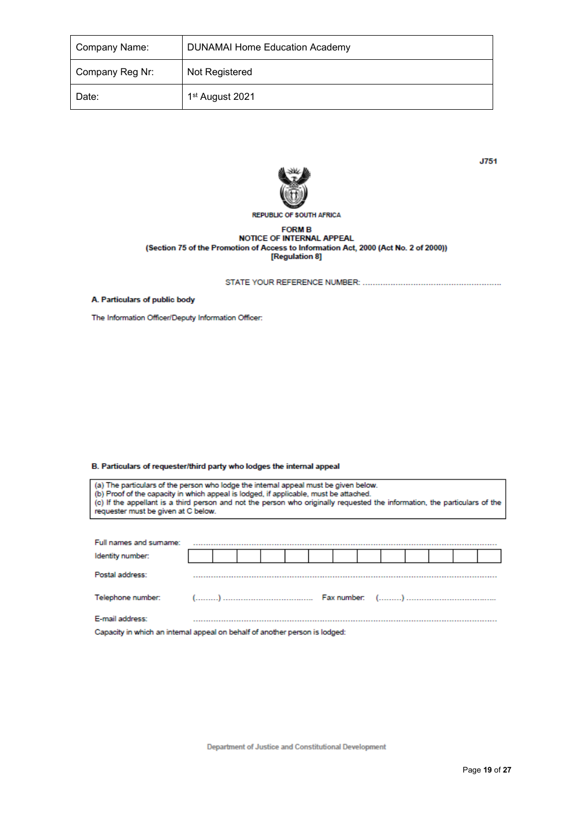| Company Name:   | <b>DUNAMAI Home Education Academy</b> |
|-----------------|---------------------------------------|
| Company Reg Nr: | Not Registered                        |
| Date:           | 1st August 2021                       |



# **REPUBLIC OF SOUTH AFRICA**

# **FORM B** NOTICE OF INTERNAL APPEAL (Section 75 of the Promotion of Access to Information Act, 2000 (Act No. 2 of 2000))<br>[Regulation 8]

A. Particulars of public body

The Information Officer/Deputy Information Officer:

B. Particulars of requester/third party who lodges the internal appeal

(a) The particulars of the person who lodge the internal appeal must be given below.<br>(b) Proof of the capacity in which appeal is lodged, if applicable, must be attached.<br>(c) If the appellant is a third person and not the

| Full names and sumame:                                                      |  |  |  |  |  |  |  |
|-----------------------------------------------------------------------------|--|--|--|--|--|--|--|
| Identity number:                                                            |  |  |  |  |  |  |  |
| Postal address:                                                             |  |  |  |  |  |  |  |
|                                                                             |  |  |  |  |  |  |  |
| E-mail address:                                                             |  |  |  |  |  |  |  |
| Conneity in which an internal annual on behalf of another necess is ledged: |  |  |  |  |  |  |  |

apacity in which an internal appeal on behalf of another person is lodged: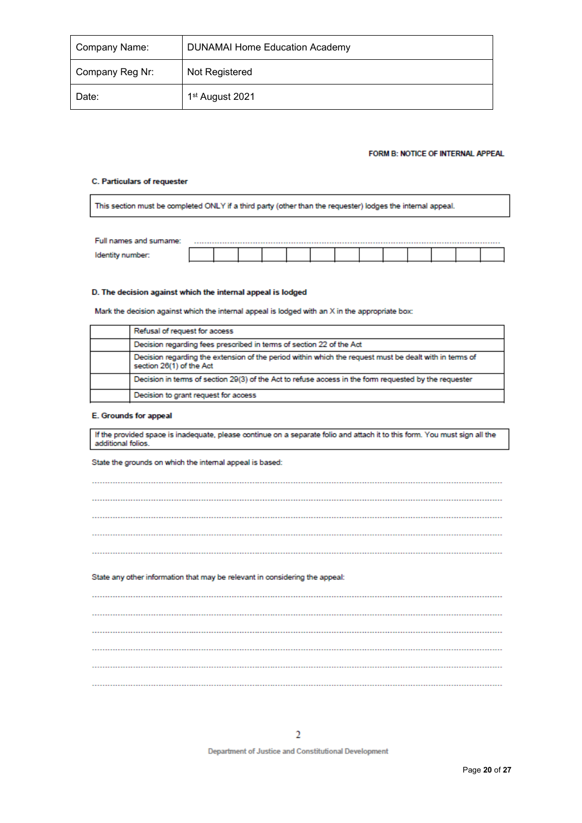| Company Name:   | <b>DUNAMAI Home Education Academy</b> |
|-----------------|---------------------------------------|
| Company Reg Nr: | Not Registered                        |
| Date:           | 1 <sup>st</sup> August 2021           |

#### FORM B: NOTICE OF INTERNAL APPEAL

#### C. Particulars of requester

This section must be completed ONLY if a third party (other than the requester) lodges the internal appeal.

| Full names and sumame: |  |  |  |  |  |  |  |
|------------------------|--|--|--|--|--|--|--|
|                        |  |  |  |  |  |  |  |

#### D. The decision against which the internal appeal is lodged

Mark the decision against which the internal appeal is lodged with an X in the appropriate box:

| Refusal of request for access                                                                                                      |
|------------------------------------------------------------------------------------------------------------------------------------|
| Decision regarding fees prescribed in terms of section 22 of the Act                                                               |
| Decision regarding the extension of the period within which the request must be dealt with in terms of<br>section 26(1) of the Act |
| Decision in terms of section 29(3) of the Act to refuse access in the form requested by the requester                              |
| Decision to grant request for access                                                                                               |

#### E. Grounds for appeal

If the provided space is inadequate, please continue on a separate folio and attach it to this form. You must sign all the additional folios.

State the grounds on which the internal appeal is based:

| State any other information that may be relevant in considering the appeal: |  |
|-----------------------------------------------------------------------------|--|
|                                                                             |  |
|                                                                             |  |
|                                                                             |  |
|                                                                             |  |
|                                                                             |  |
|                                                                             |  |

**Department of Justice and Constitutional Development**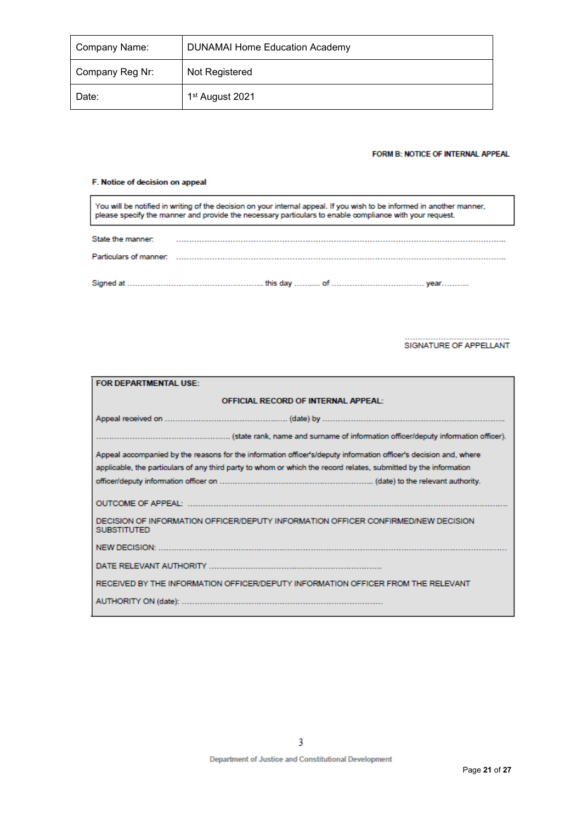| Company Name:   | <b>DUNAMAI Home Education Academy</b> |
|-----------------|---------------------------------------|
| Company Reg Nr: | Not Registered                        |
| Date:           | 1 <sup>st</sup> August 2021           |

#### FORM B: NOTICE OF INTERNAL APPEAL

#### F. Notice of decision on appeal

You will be notified in writing of the decision on your internal appeal. If you wish to be informed in another manner,<br>please specify the manner and provide the necessary particulars to enable compliance with your request.

| State the manner: |                                                                                    |
|-------------------|------------------------------------------------------------------------------------|
|                   | Particulars of manner: www.communication.com/communications.com/communications.com |
|                   |                                                                                    |

# SIGNATURE OF APPELLANT

| FOR DEPARTMENTAL USE:                                                                                                                                                                                                                |                                                                                   |  |  |  |  |
|--------------------------------------------------------------------------------------------------------------------------------------------------------------------------------------------------------------------------------------|-----------------------------------------------------------------------------------|--|--|--|--|
|                                                                                                                                                                                                                                      | <b>OFFICIAL RECORD OF INTERNAL APPEAL:</b>                                        |  |  |  |  |
|                                                                                                                                                                                                                                      |                                                                                   |  |  |  |  |
|                                                                                                                                                                                                                                      |                                                                                   |  |  |  |  |
| Appeal accompanied by the reasons for the information officer's/deputy information officer's decision and, where<br>applicable, the particulars of any third party to whom or which the record relates, submitted by the information |                                                                                   |  |  |  |  |
|                                                                                                                                                                                                                                      |                                                                                   |  |  |  |  |
|                                                                                                                                                                                                                                      |                                                                                   |  |  |  |  |
| <b>SUBSTITUTED</b>                                                                                                                                                                                                                   | DECISION OF INFORMATION OFFICER/DEPUTY INFORMATION OFFICER CONFIRMED/NEW DECISION |  |  |  |  |
|                                                                                                                                                                                                                                      |                                                                                   |  |  |  |  |
|                                                                                                                                                                                                                                      |                                                                                   |  |  |  |  |
|                                                                                                                                                                                                                                      | RECEIVED BY THE INFORMATION OFFICER/DEPUTY INFORMATION OFFICER FROM THE RELEVANT  |  |  |  |  |
|                                                                                                                                                                                                                                      |                                                                                   |  |  |  |  |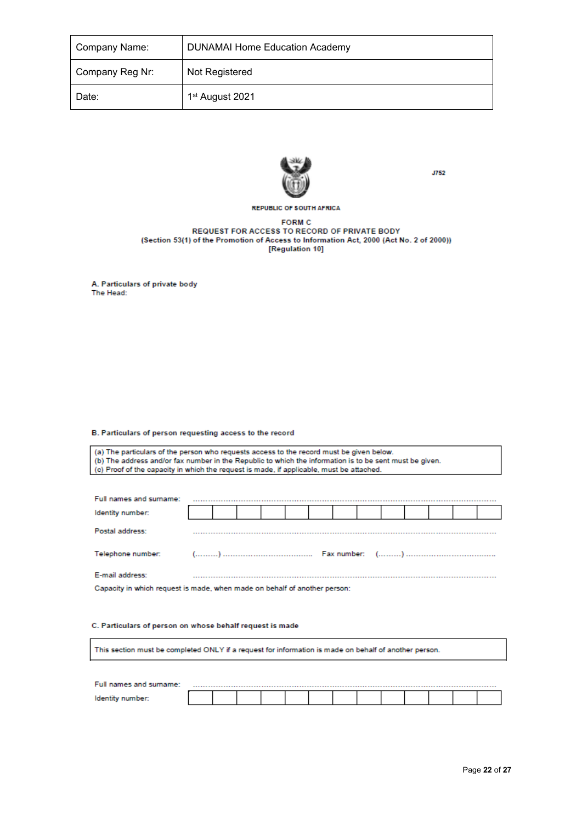| Company Name:   | <b>DUNAMAI Home Education Academy</b> |
|-----------------|---------------------------------------|
| Company Reg Nr: | Not Registered                        |
| Date:           | 1 <sup>st</sup> August 2021           |



#### **REPUBLIC OF SOUTH AFRICA**

**FORM C** REQUEST FOR ACCESS TO RECORD OF PRIVATE BODY (Section 53(1) of the Promotion of Access to Information Act, 2000 (Act No. 2 of 2000)) [Regulation 10]

A. Particulars of private body The Head:

#### B. Particulars of person requesting access to the record

(a) The particulars of the person who requests access to the record must be given below. (b) The address and/or fax number in the Republic to which the information is to be sent must be given. (c) Proof of the capacity in which the request is made, if applicable, must be attached.

| Full names and surname:                                                   |  |  |  |  |  |  |  |  |  |
|---------------------------------------------------------------------------|--|--|--|--|--|--|--|--|--|
| Identity number:                                                          |  |  |  |  |  |  |  |  |  |
| Postal address:                                                           |  |  |  |  |  |  |  |  |  |
| Telephone number:                                                         |  |  |  |  |  |  |  |  |  |
| E-mail address:                                                           |  |  |  |  |  |  |  |  |  |
| Capacity in which request is made, when made on behalf of another person: |  |  |  |  |  |  |  |  |  |

# C. Particulars of person on whose behalf request is made

This section must be completed ONLY if a request for information is made on behalf of another person.

| Full names and surname: |  |  |  |  |  |  |  |
|-------------------------|--|--|--|--|--|--|--|
|                         |  |  |  |  |  |  |  |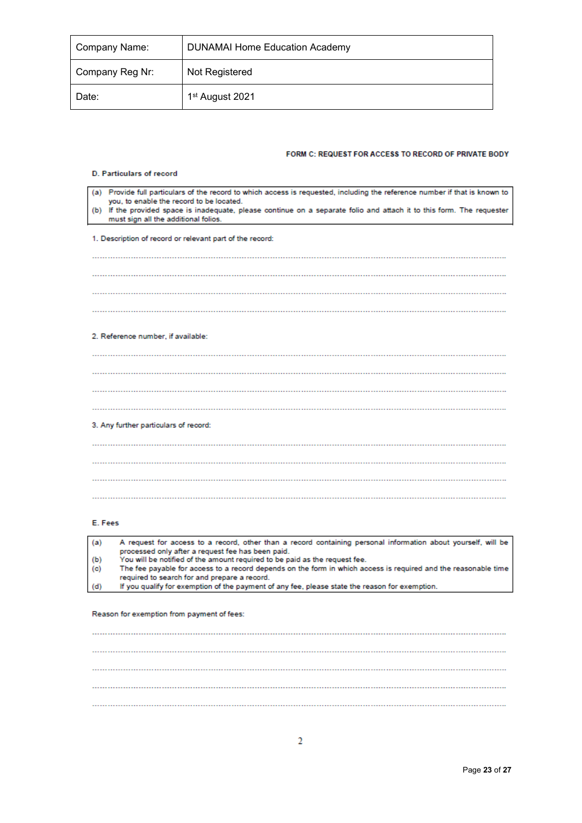| Company Name:   | <b>DUNAMAI Home Education Academy</b> |
|-----------------|---------------------------------------|
| Company Reg Nr: | Not Registered                        |
| Date:           | 1 <sup>st</sup> August 2021           |

#### FORM C: REQUEST FOR ACCESS TO RECORD OF PRIVATE BODY

#### D. Particulars of record

| (a) Provide full particulars of the record to which access is requested, including the reference number if that is known to<br>you, to enable the record to be located. |
|-------------------------------------------------------------------------------------------------------------------------------------------------------------------------|
| (b) If the provided space is inadequate, please continue on a separate folio and attach it to this form. The requester<br>must sign all the additional folios.          |
| 1. Description of record or relevant part of the record:                                                                                                                |
|                                                                                                                                                                         |
|                                                                                                                                                                         |
|                                                                                                                                                                         |
|                                                                                                                                                                         |
| 2. Reference number, if available:                                                                                                                                      |
|                                                                                                                                                                         |
|                                                                                                                                                                         |
|                                                                                                                                                                         |
|                                                                                                                                                                         |
| 3. Any further particulars of record:                                                                                                                                   |
|                                                                                                                                                                         |
|                                                                                                                                                                         |
|                                                                                                                                                                         |
|                                                                                                                                                                         |

#### E. Fees

| (a) | A request for access to a record, other than a record containing personal information about yourself, will be  |
|-----|----------------------------------------------------------------------------------------------------------------|
|     | processed only after a request fee has been paid.                                                              |
| (b) | You will be notified of the amount required to be paid as the request fee.                                     |
| (c) | The fee payable for access to a record depends on the form in which access is required and the reasonable time |
|     | required to search for and prepare a record.                                                                   |
| (d) | If you qualify for exemption of the payment of any fee, please state the reason for exemption.                 |

#### Reason for exemption from payment of fees: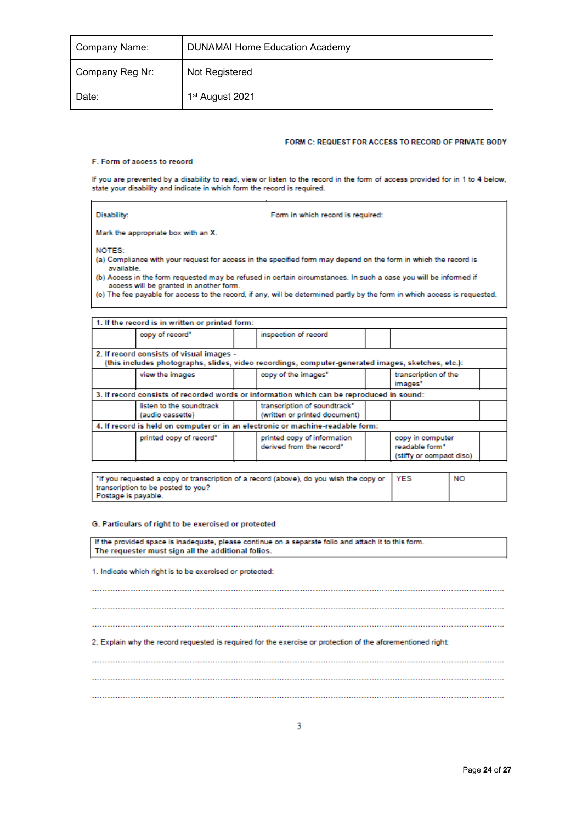| Company Name:   | <b>DUNAMAI Home Education Academy</b> |
|-----------------|---------------------------------------|
| Company Reg Nr: | Not Registered                        |
| Date:           | 1 <sup>st</sup> August 2021           |

#### FORM C: REQUEST FOR ACCESS TO RECORD OF PRIVATE BODY

#### F. Form of access to record

If you are prevented by a disability to read, view or listen to the record in the form of access provided for in 1 to 4 below,<br>state your disability and indicate in which form the record is required.

| Disability:<br>Form in which record is required:                                                                              |                                                                                                                  |                                                                                                                           |  |  |  |  |  |  |
|-------------------------------------------------------------------------------------------------------------------------------|------------------------------------------------------------------------------------------------------------------|---------------------------------------------------------------------------------------------------------------------------|--|--|--|--|--|--|
| Mark the appropriate box with an X.                                                                                           |                                                                                                                  |                                                                                                                           |  |  |  |  |  |  |
| NOTES:                                                                                                                        |                                                                                                                  |                                                                                                                           |  |  |  |  |  |  |
| (a) Compliance with your request for access in the specified form may depend on the form in which the record is<br>available. |                                                                                                                  |                                                                                                                           |  |  |  |  |  |  |
| access will be granted in another form.                                                                                       | (b) Access in the form requested may be refused in certain circumstances. In such a case you will be informed if |                                                                                                                           |  |  |  |  |  |  |
|                                                                                                                               |                                                                                                                  | (c) The fee payable for access to the record, if any, will be determined partly by the form in which access is requested. |  |  |  |  |  |  |
|                                                                                                                               |                                                                                                                  |                                                                                                                           |  |  |  |  |  |  |
| 1. If the record is in written or printed form:                                                                               |                                                                                                                  |                                                                                                                           |  |  |  |  |  |  |
| copy of record*                                                                                                               | inspection of record                                                                                             |                                                                                                                           |  |  |  |  |  |  |

| www.communications.com                                                                                                                        |  | <b>Mapedon of record</b>                                      |  |                                                                |  |  |  |
|-----------------------------------------------------------------------------------------------------------------------------------------------|--|---------------------------------------------------------------|--|----------------------------------------------------------------|--|--|--|
| 2. If record consists of visual images -<br>(this includes photographs, slides, video recordings, computer-generated images, sketches, etc.): |  |                                                               |  |                                                                |  |  |  |
| view the images                                                                                                                               |  | copy of the images"                                           |  | transcription of the<br>images"                                |  |  |  |
| 3. If record consists of recorded words or information which can be reproduced in sound:                                                      |  |                                                               |  |                                                                |  |  |  |
| listen to the soundtrack<br>(audio cassette)                                                                                                  |  | transcription of soundtrack*<br>(written or printed document) |  |                                                                |  |  |  |
| 4. If record is held on computer or in an electronic or machine-readable form:                                                                |  |                                                               |  |                                                                |  |  |  |
| printed copy of record"                                                                                                                       |  | printed copy of information<br>derived from the record*       |  | copy in computer<br>readable form*<br>(stiffy or compact disc) |  |  |  |

| "If you requested a copy or transcription of a record (above), do you wish the copy or YES | NO |
|--------------------------------------------------------------------------------------------|----|
| transcription to be posted to you?                                                         |    |
| Postage is payable.                                                                        |    |

#### G. Particulars of right to be exercised or protected

| If the provided space is inadequate, please continue on a separate folio and attach it to this form.<br>The requester must sign all the additional folios. |
|------------------------------------------------------------------------------------------------------------------------------------------------------------|
| 1. Indicate which right is to be exercised or protected:                                                                                                   |
|                                                                                                                                                            |
|                                                                                                                                                            |
| 2. Explain why the record requested is required for the exercise or protection of the aforementioned right:                                                |
|                                                                                                                                                            |
|                                                                                                                                                            |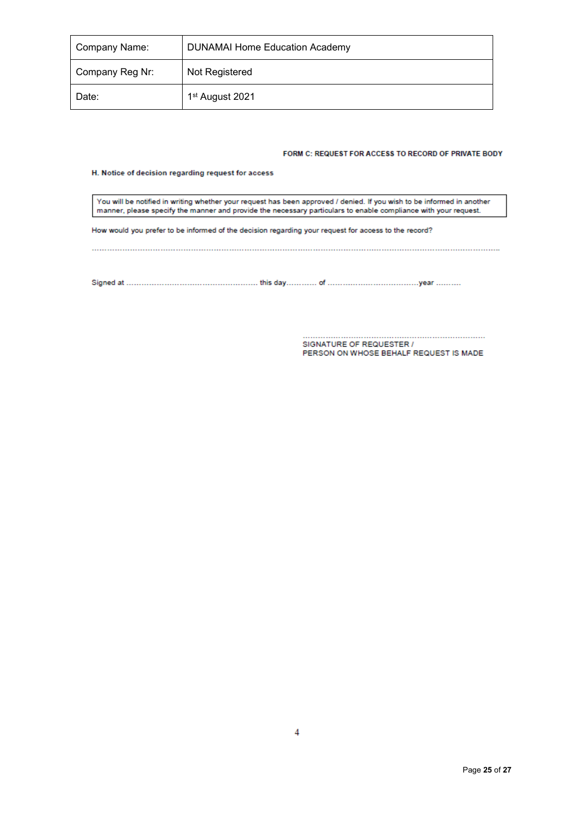| Company Name:   | <b>DUNAMAI Home Education Academy</b> |
|-----------------|---------------------------------------|
| Company Reg Nr: | Not Registered                        |
| Date:           | 1 <sup>st</sup> August 2021           |

#### FORM C: REQUEST FOR ACCESS TO RECORD OF PRIVATE BODY

#### H. Notice of decision regarding request for access

You will be notified in writing whether your request has been approved / denied. If you wish to be informed in another<br>manner, please specify the manner and provide the necessary particulars to enable compliance with your

How would you prefer to be informed of the decision regarding your request for access to the record?

SIGNATURE OF REQUESTER / PERSON ON WHOSE BEHALF REQUEST IS MADE

4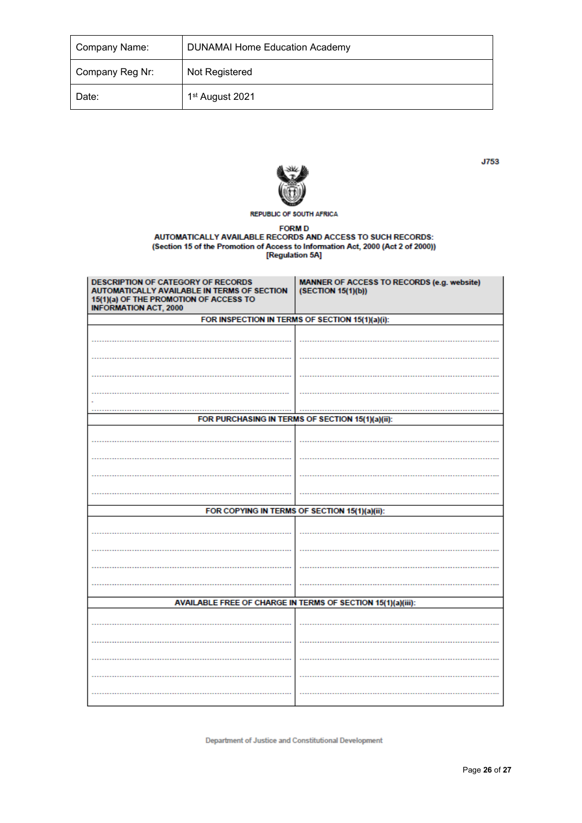| Company Name:   | <b>DUNAMAI Home Education Academy</b> |
|-----------------|---------------------------------------|
| Company Reg Nr: | Not Registered                        |
| Date:           | 1 <sup>st</sup> August 2021           |



**REPUBLIC OF SOUTH AFRICA** 

FORM D<br>AUTOMATICALLY AVAILABLE RECORDS AND ACCESS TO SUCH RECORDS:<br>(Section 15 of the Promotion of Access to Information Act, 2000 (Act 2 of 2000))<br>[Regulation 5A]

| DESCRIPTION OF CATEGORY OF RECORDS<br>AUTOMATICALLY AVAILABLE IN TERMS OF SECTION<br>15(1)(a) OF THE PROMOTION OF ACCESS TO<br><b>INFORMATION ACT, 2000</b> | MANNER OF ACCESS TO RECORDS (e.g. website)<br>(SECTION 15(1)(b)) |  |
|-------------------------------------------------------------------------------------------------------------------------------------------------------------|------------------------------------------------------------------|--|
| FOR INSPECTION IN TERMS OF SECTION 15(1)(a)(i):                                                                                                             |                                                                  |  |
|                                                                                                                                                             |                                                                  |  |
|                                                                                                                                                             |                                                                  |  |
|                                                                                                                                                             |                                                                  |  |
|                                                                                                                                                             |                                                                  |  |
|                                                                                                                                                             |                                                                  |  |
|                                                                                                                                                             | FOR PURCHASING IN TERMS OF SECTION 15(1)(a)(ii):                 |  |
|                                                                                                                                                             |                                                                  |  |
|                                                                                                                                                             |                                                                  |  |
|                                                                                                                                                             |                                                                  |  |
|                                                                                                                                                             |                                                                  |  |
|                                                                                                                                                             |                                                                  |  |
| FOR COPYING IN TERMS OF SECTION 15(1)(a)(ii):                                                                                                               |                                                                  |  |
|                                                                                                                                                             |                                                                  |  |
|                                                                                                                                                             |                                                                  |  |
|                                                                                                                                                             |                                                                  |  |
|                                                                                                                                                             |                                                                  |  |
|                                                                                                                                                             |                                                                  |  |
| AVAILABLE FREE OF CHARGE IN TERMS OF SECTION 15(1)(a)(iii):                                                                                                 |                                                                  |  |
|                                                                                                                                                             |                                                                  |  |
|                                                                                                                                                             |                                                                  |  |
|                                                                                                                                                             |                                                                  |  |
|                                                                                                                                                             |                                                                  |  |
|                                                                                                                                                             |                                                                  |  |
|                                                                                                                                                             |                                                                  |  |

**Department of Justice and Constitutional Development**